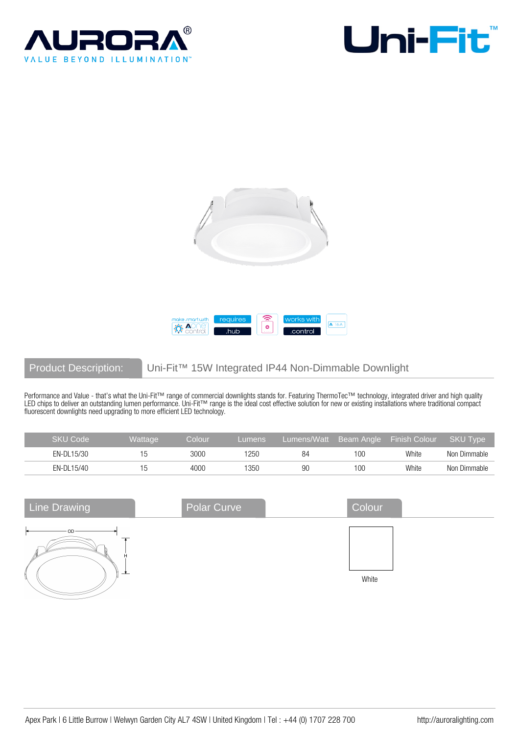







# Product Description: Uni-Fit™ 15W Integrated IP44 Non-Dimmable Downlight

Performance and Value - that's what the Uni-Fit™ range of commercial downlights stands for. Featuring ThermoTec™ technology, integrated driver and high quality LED chips to deliver an outstanding lumen performance. Uni-Fit™ range is the ideal cost effective solution for new or existing installations where traditional compact fluorescent downlights need upgrading to more efficient LED technology.

| <b>SKU Code</b> | Wattage <sup>1</sup> | Colour | Lumens |    |       | Lumens/Watt Beam Angle Finish Colour | SKU Tvpe     |
|-----------------|----------------------|--------|--------|----|-------|--------------------------------------|--------------|
| EN-DL15/30      |                      | 3000   | 1250   | 84 | 1 O C | White                                | Non Dimmable |
| EN-DL15/40      |                      | 4000   | 1350   | 90 | 1 OC  | White                                | Non Dimmable |

| <b>Line Drawing</b> | <b>Polar Curve</b> | Colour |  |
|---------------------|--------------------|--------|--|
| OD.                 |                    | White  |  |